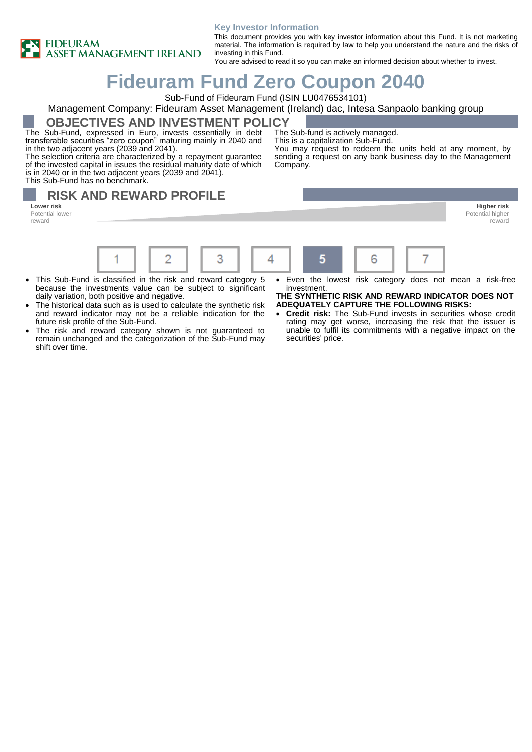

#### **Key Investor Information**

This document provides you with key investor information about this Fund. It is not marketing material. The information is required by law to help you understand the nature and the risks of investing in this Fund.

You are advised to read it so you can make an informed decision about whether to invest.

# **Fideuram Fund Zero Coupon 2040**

Sub-Fund of Fideuram Fund (ISIN LU0476534101)

#### Management Company: Fideuram Asset Management (Ireland) dac, Intesa Sanpaolo banking group

**OBJECTIVES AND INVESTMENT POLICY**

The Sub-Fund, expressed in Euro, invests essentially in debt transferable securities "zero coupon" maturing mainly in 2040 and in the two adjacent years (2039 and 2041).

The selection criteria are characterized by a repayment guarantee of the invested capital in issues the residual maturity date of which is in 2040 or in the two adjacent years (2039 and 2041). This Sub-Fund has no benchmark.

The Sub-fund is actively managed. This is a capitalization Sub-Fund.

You may request to redeem the units held at any moment, by sending a request on any bank business day to the Management Company.

## **RISK AND REWARD PROFILE**

1

Potential lower reward



- This Sub-Fund is classified in the risk and reward category 5 because the investments value can be subject to significant daily variation, both positive and negative.
- The historical data such as is used to calculate the synthetic risk and reward indicator may not be a reliable indication for the future risk profile of the Sub-Fund.
- The risk and reward category shown is not guaranteed to remain unchanged and the categorization of the Sub-Fund may shift over time.

Even the lowest risk category does not mean a risk-free investment.

#### **THE SYNTHETIC RISK AND REWARD INDICATOR DOES NOT ADEQUATELY CAPTURE THE FOLLOWING RISKS:**

• **Credit risk:** The Sub-Fund invests in securities whose credit rating may get worse, increasing the risk that the issuer is unable to fulfil its commitments with a negative impact on the securities' price.